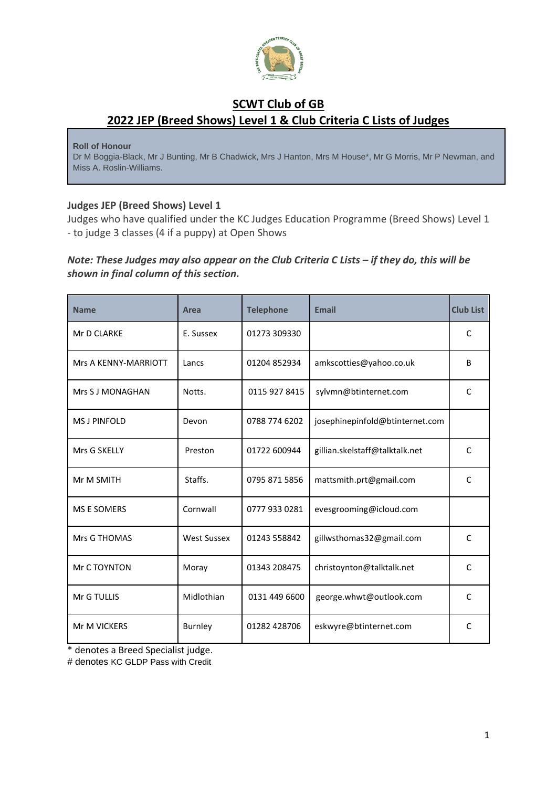

## **SCWT Club of GB 2022 JEP (Breed Shows) Level 1 & Club Criteria C Lists of Judges**

**Roll of Honour**

Dr M Boggia-Black, Mr J Bunting, Mr B Chadwick, Mrs J Hanton, Mrs M House\*, Mr G Morris, Mr P Newman, and Miss A. Roslin-Williams.

## **Judges JEP (Breed Shows) Level 1**

Judges who have qualified under the KC Judges Education Programme (Breed Shows) Level 1 - to judge 3 classes (4 if a puppy) at Open Shows

## *Note: These Judges may also appear on the Club Criteria C Lists – if they do, this will be shown in final column of this section.*

| <b>Name</b>          | Area               | <b>Telephone</b> | <b>Email</b>                    | <b>Club List</b> |
|----------------------|--------------------|------------------|---------------------------------|------------------|
| Mr D CLARKE          | E. Sussex          | 01273 309330     |                                 | C                |
| Mrs A KENNY-MARRIOTT | Lancs              | 01204 852934     | amkscotties@yahoo.co.uk         | B                |
| Mrs S J MONAGHAN     | Notts.             | 0115 927 8415    | sylvmn@btinternet.com           | $\mathsf{C}$     |
| <b>MS J PINFOLD</b>  | Devon              | 0788 774 6202    | josephinepinfold@btinternet.com |                  |
| Mrs G SKELLY         | Preston            | 01722 600944     | gillian.skelstaff@talktalk.net  | C                |
| Mr M SMITH           | Staffs.            | 0795 871 5856    | mattsmith.prt@gmail.com         | C                |
| <b>MS E SOMERS</b>   | Cornwall           | 0777 933 0281    | evesgrooming@icloud.com         |                  |
| Mrs G THOMAS         | <b>West Sussex</b> | 01243 558842     | gillwsthomas32@gmail.com        | C                |
| Mr C TOYNTON         | Moray              | 01343 208475     | christoynton@talktalk.net       | $\mathsf{C}$     |
| Mr G TULLIS          | Midlothian         | 0131 449 6600    | george.whwt@outlook.com         | $\mathsf{C}$     |
| Mr M VICKERS         | <b>Burnley</b>     | 01282 428706     | eskwyre@btinternet.com          | $\mathsf{C}$     |

\* denotes a Breed Specialist judge.

# denotes KC GLDP Pass with Credit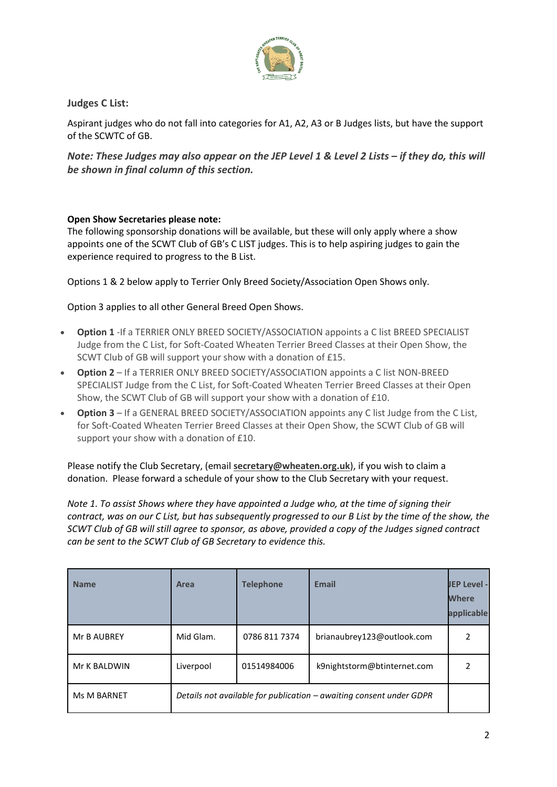

**Judges C List:**

Aspirant judges who do not fall into categories for A1, A2, A3 or B Judges lists, but have the support of the SCWTC of GB.

Note: These Judges may also appear on the JEP Level 1 & Level 2 Lists - if they do, this will *be shown in final column of this section.*

## **Open Show Secretaries please note:**

The following sponsorship donations will be available, but these will only apply where a show appoints one of the SCWT Club of GB's C LIST judges. This is to help aspiring judges to gain the experience required to progress to the B List.

Options 1 & 2 below apply to Terrier Only Breed Society/Association Open Shows only.

Option 3 applies to all other General Breed Open Shows.

- **Option 1** -If a TERRIER ONLY BREED SOCIETY/ASSOCIATION appoints a C list BREED SPECIALIST Judge from the C List, for Soft-Coated Wheaten Terrier Breed Classes at their Open Show, the SCWT Club of GB will support your show with a donation of £15.
- **Option 2** If a TERRIER ONLY BREED SOCIETY/ASSOCIATION appoints a C list NON-BREED SPECIALIST Judge from the C List, for Soft-Coated Wheaten Terrier Breed Classes at their Open Show, the SCWT Club of GB will support your show with a donation of £10.
- **Option 3** If a GENERAL BREED SOCIETY/ASSOCIATION appoints any C list Judge from the C List, for Soft-Coated Wheaten Terrier Breed Classes at their Open Show, the SCWT Club of GB will support your show with a donation of £10.

Please notify the Club Secretary, (email **[secretary@wheaten.org.uk](mailto:secretary@wheaten.org.uk)**), if you wish to claim a donation. Please forward a schedule of your show to the Club Secretary with your request.

*Note 1. To assist Shows where they have appointed a Judge who, at the time of signing their contract, was on our C List, but has subsequently progressed to our B List by the time of the show, the SCWT Club of GB will still agree to sponsor, as above, provided a copy of the Judges signed contract can be sent to the SCWT Club of GB Secretary to evidence this.*

| <b>Name</b>        | Area      | <b>Telephone</b> | <b>Email</b>                                                        | <b>JEP Level -</b><br><b>Where</b><br>applicable |
|--------------------|-----------|------------------|---------------------------------------------------------------------|--------------------------------------------------|
| Mr B AUBREY        | Mid Glam. | 0786 811 7374    | brianaubrey123@outlook.com                                          | 2                                                |
| Mr K BALDWIN       | Liverpool | 01514984006      | k9nightstorm@btinternet.com                                         |                                                  |
| <b>Ms M BARNET</b> |           |                  | Details not available for publication - awaiting consent under GDPR |                                                  |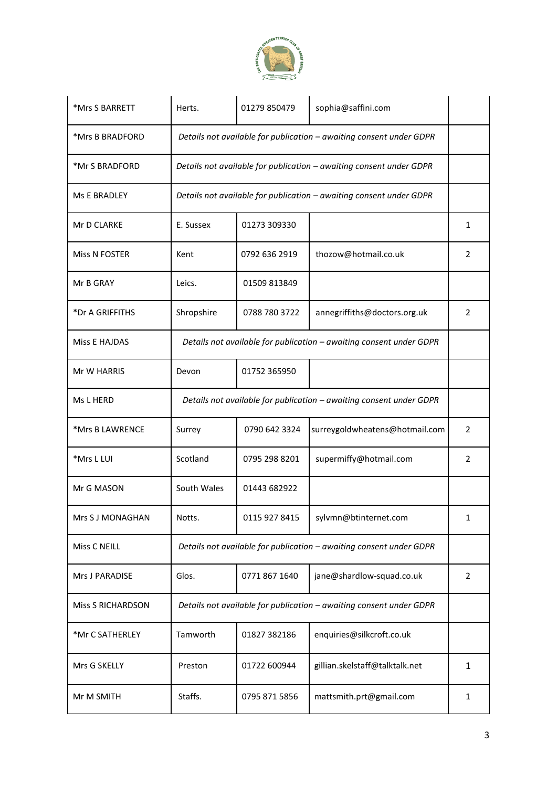

| *Mrs S BARRETT           | Herts.                                                              | 01279 850479  | sophia@saffini.com             |                |
|--------------------------|---------------------------------------------------------------------|---------------|--------------------------------|----------------|
| *Mrs B BRADFORD          | Details not available for publication - awaiting consent under GDPR |               |                                |                |
| *Mr S BRADFORD           | Details not available for publication - awaiting consent under GDPR |               |                                |                |
| Ms E BRADLEY             | Details not available for publication - awaiting consent under GDPR |               |                                |                |
| Mr D CLARKE              | E. Sussex                                                           | 01273 309330  |                                | 1              |
| Miss N FOSTER            | Kent                                                                | 0792 636 2919 | thozow@hotmail.co.uk           | 2              |
| Mr B GRAY                | Leics.                                                              | 01509 813849  |                                |                |
| *Dr A GRIFFITHS          | Shropshire                                                          | 0788 780 3722 | annegriffiths@doctors.org.uk   | $\overline{2}$ |
| <b>Miss E HAJDAS</b>     | Details not available for publication - awaiting consent under GDPR |               |                                |                |
| Mr W HARRIS              | Devon                                                               | 01752 365950  |                                |                |
| Ms L HERD                | Details not available for publication - awaiting consent under GDPR |               |                                |                |
| *Mrs B LAWRENCE          | Surrey                                                              | 0790 642 3324 | surreygoldwheatens@hotmail.com | $\overline{2}$ |
| *Mrs L LUI               | Scotland                                                            | 0795 298 8201 | supermiffy@hotmail.com         | $\overline{2}$ |
| Mr G MASON               | South Wales                                                         | 01443 682922  |                                |                |
| Mrs S J MONAGHAN         | Notts.                                                              | 0115 927 8415 | sylvmn@btinternet.com          | ı              |
| Miss C NEILL             | Details not available for publication - awaiting consent under GDPR |               |                                |                |
| Mrs J PARADISE           | Glos.                                                               | 0771 867 1640 | jane@shardlow-squad.co.uk      | $\overline{2}$ |
| <b>Miss S RICHARDSON</b> | Details not available for publication - awaiting consent under GDPR |               |                                |                |
| *Mr C SATHERLEY          | Tamworth                                                            | 01827 382186  | enquiries@silkcroft.co.uk      |                |
| Mrs G SKELLY             | Preston                                                             | 01722 600944  | gillian.skelstaff@talktalk.net | 1              |
| Mr M SMITH               | Staffs.                                                             | 0795 871 5856 | mattsmith.prt@gmail.com        | 1              |